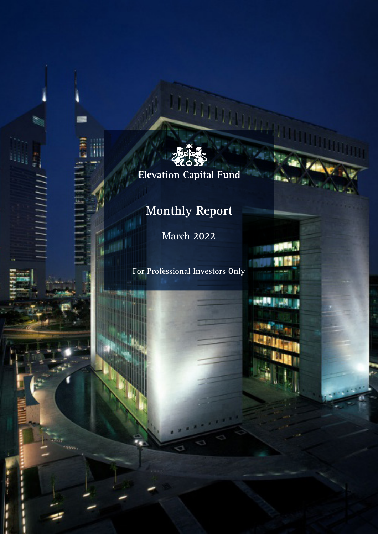

**Ting** 

# **Elevation Capital Fund**

# **Monthly Report**

П

E

E

and I

**March 2022**

**For Professional Investors Only**

植作

**B** 21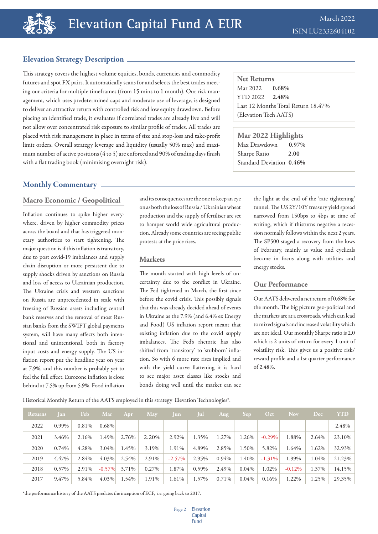## Elevation Strategy Description

This strategy covers the highest volume equities, bonds, currencies and commodity futures and spot FX pairs. It automatically scans for and selects the best trades meeting our criteria for multiple timeframes (from 15 mins to 1 month). Our risk management, which uses predetermined caps and moderate use of leverage, is designed to deliver an attractive return with controlled risk and low equity drawdown. Before placing an identified trade, it evaluates if correlated trades are already live and will not allow over concentrated risk exposure to similar profile of trades. All trades are placed with risk management in place in terms of size and stop-loss and take-profit limit orders. Overall strategy leverage and liquidity (usually 50% max) and maximum number of active positions (4 to 5) are enforced and 90% of trading days finish with a flat trading book (minimising overnight risk).

## Monthly Commentary

### **Macro Economic / Geopolitical**

Inflation continues to spike higher everywhere, driven by higher commodity prices across the board and that has triggered monetary authorities to start tightening. The major question is if this inflation is transitory, due to post covid-19 imbalances and supply chain disruption or more persistent due to supply shocks driven by sanctions on Russia and loss of access to Ukrainian production. The Ukraine crisis and western sanctions on Russia are unprecedented in scale with freezing of Russian assets including central bank reserves and the removal of most Russian banks from the SWIFT global payments system, will have many effects both intentional and unintentional, both in factory input costs and energy supply. The US inflation report put the headline year on year at 7.9%, and this number is probably yet to feel the full effect. Eurozone inflation is close behind at 7.5% up from 5.9%. Food inflation

and its consequences are the one to keep an eye on as both the loss of Russia / Ukrainian wheat production and the supply of fertiliser are set to hamper world wide agricultural production. Already some countries are seeing public protests at the price rises.

#### **Markets**

The month started with high levels of uncertainty due to the conflict in Ukraine. The Fed tightened in March, the first since before the covid crisis. This possibly signals that this was already decided ahead of events in Ukraine as the 7.9% (and 6.4% ex Energy and Food) US inflation report meant that existing inflation due to the covid supply imbalances. The Fed's rhetoric has also shifted from 'transitory' to 'stubborn' inflation. So with 6 more rate rises implied and with the yield curve flattening it is hard to see major asset classes like stocks and bonds doing well until the market can see

**Net Returns** Mar 2022 **0.68%** YTD 2022 **2.48%** Last 12 Months Total Return 18.47% (Elevation Tech AATS)

**Mar 2022 Highlights** Max Drawdown **0.97%** Sharpe Ratio **2.00** Standard Deviation **0.46%**

> the light at the end of the 'rate tightening' tunnel. The US 2Y/10Y treasury yield spread narrowed from 150bps to 4bps at time of writing, which if thisturns negative a recession normally follows within the next 2 years. The SP500 staged a recovery from the lows of February, mainly as value and cyclicals became in focus along with utilities and energy stocks.

### **Our Performance**

Our AATS delivered a net return of 0.68% for the month. The big picture geo-political and the markets are at a crossroads, which can lead to mixed signals and increased volatility which are not ideal. Our monthly Sharpe ratio is 2.0 which is 2 units of return for every 1 unit of volatility risk. This gives us a positive risk/ reward profile and a 1st quarter performance of 2.48%.

Historical Monthly Return of the AATS employed in this strategy Elevation Technologies\*.

| <b>Returns</b> | Jan   | Feb   | Mar      | Apr   | May   | Jun       | Jul   | Aug      | Sep      | Oct       | <b>Nov</b> | Dec   | <b>YTD</b> |
|----------------|-------|-------|----------|-------|-------|-----------|-------|----------|----------|-----------|------------|-------|------------|
| 2022           | 0.99% | 0.81% | $0.68\%$ |       |       |           |       |          |          |           |            |       | 2.48%      |
| 2021           | 3.46% | 2.16% | 1.49%    | 2.76% | 2.20% | 2.92%     | 1.35% | 1.27%    | 1.26%    | $-0.29\%$ | 1.88%      | 2.64% | 23.10%     |
| 2020           | 0.74% | 4.28% | $3.04\%$ | 1.45% | 3.19% | 1.91%     | 4.89% | 2.85%    | 1.50%    | 5.82%     | 1.64%      | 1.62% | 32.93%     |
| 2019           | 4.47% | 2.84% | $4.03\%$ | 2.54% | 2.91% | $-2.57\%$ | 2.95% | $0.94\%$ | 1.40%    | $-1.31\%$ | 1.99%      | 1.04% | 21.23%     |
| 2018           | 0.57% | 2.91% | $-0.57%$ | 3.71% | 0.27% | 1.87%     | 0.59% | 2.49%    | $0.04\%$ | 1.02%     | $-0.12\%$  | 1.37% | 14.15%     |
| 2017           | 9.47% | 5.84% | $4.03\%$ | 1.54% | 1.91% | 1.61%     | 1.57% | 0.71%    | 0.04%    | 0.16%     | 1.22%      | 1.25% | 29.35%     |

\*the performance history of the AATS predates the inception of ECF, i.e. going back to 2017.